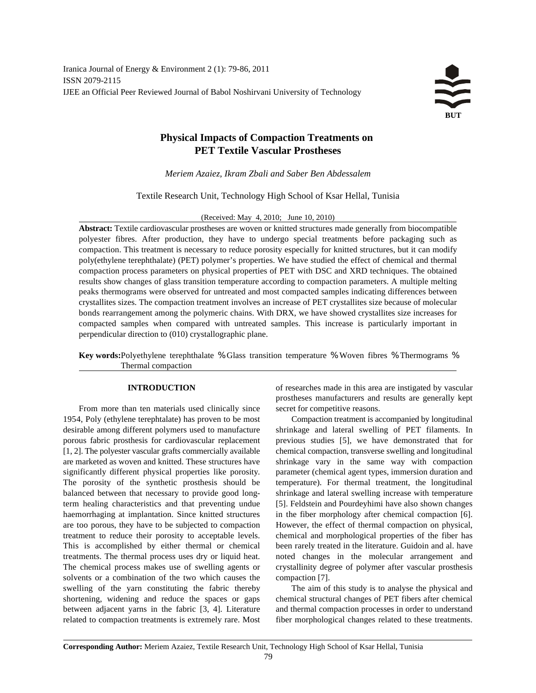# **Physical Impacts of Compaction Treatments on PET Textile Vascular Prostheses**

*Meriem Azaiez, Ikram Zbali and Saber Ben Abdessalem*

Textile Research Unit, Technology High School of Ksar Hellal, Tunisia

(Received: May 4, 2010; June 10, 2010)

**Abstract:** Textile cardiovascular prostheses are woven or knitted structures made generally from biocompatible polyester fibres. After production, they have to undergo special treatments before packaging such as compaction. This treatment is necessary to reduce porosity especially for knitted structures, but it can modify poly(ethylene terephthalate) (PET) polymer's properties. We have studied the effect of chemical and thermal compaction process parameters on physical properties of PET with DSC and XRD techniques. The obtained results show changes of glass transition temperature according to compaction parameters. A multiple melting peaks thermograms were observed for untreated and most compacted samples indicating differences between crystallites sizes. The compaction treatment involves an increase of PET crystallites size because of molecular bonds rearrangement among the polymeric chains. With DRX, we have showed crystallites size increases for compacted samples when compared with untreated samples. This increase is particularly important in perpendicular direction to (010) crystallographic plane.

**Key words:**Polyethylene terephthalate % Glass transition temperature % Woven fibres % Thermograms % Thermal compaction

From more than ten materials used clinically since secret for competitive reasons. 1954, Poly (ethylene terephtalate) has proven to be most Compaction treatment is accompanied by longitudinal desirable among different polymers used to manufacture shrinkage and lateral swelling of PET filaments. In porous fabric prosthesis for cardiovascular replacement previous studies [5], we have demonstrated that for [1, 2]. The polyester vascular grafts commercially available chemical compaction, transverse swelling and longitudinal are marketed as woven and knitted. These structures have shrinkage vary in the same way with compaction significantly different physical properties like porosity. parameter (chemical agent types, immersion duration and The porosity of the synthetic prosthesis should be temperature). For thermal treatment, the longitudinal balanced between that necessary to provide good long- shrinkage and lateral swelling increase with temperature term healing characteristics and that preventing undue [5]. Feldstein and Pourdeyhimi have also shown changes haemorrhaging at implantation. Since knitted structures in the fiber morphology after chemical compaction [6]. are too porous, they have to be subjected to compaction However, the effect of thermal compaction on physical, treatment to reduce their porosity to acceptable levels. chemical and morphological properties of the fiber has This is accomplished by either thermal or chemical been rarely treated in the literature. Guidoin and al. have treatments. The thermal process uses dry or liquid heat. noted changes in the molecular arrangement and The chemical process makes use of swelling agents or crystallinity degree of polymer after vascular prosthesis solvents or a combination of the two which causes the compaction [7]. swelling of the yarn constituting the fabric thereby The aim of this study is to analyse the physical and shortening, widening and reduce the spaces or gaps chemical structural changes of PET fibers after chemical between adjacent yarns in the fabric [3, 4]. Literature and thermal compaction processes in order to understand related to compaction treatments is extremely rare. Most fiber morphological changes related to these treatments.

**INTRODUCTION** of researches made in this area are instigated by vascular prostheses manufacturers and results are generally kept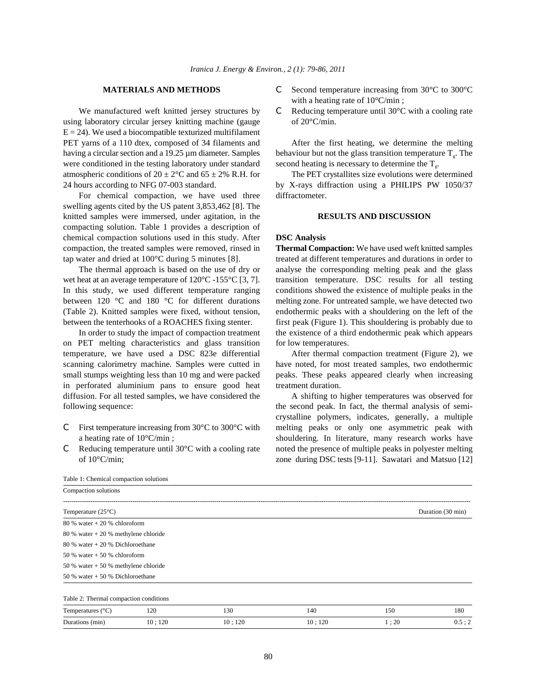using laboratory circular jersey knitting machine (gauge of 20°C/min.  $E = 24$ ). We used a biocompatible texturized multifilament PET yarns of a 110 dtex, composed of 34 filaments and After the first heating, we determine the melting having a circular section and a 19.25  $\mu$ m diameter. Samples behaviour but not the glass transition temperature T<sub>g</sub>. The were conditioned in the testing laboratory under standard atmospheric conditions of  $20 \pm 2^{\circ}$ C and  $65 \pm 2\%$  R.H. for The PET crystallites size evolutions were determined 24 hours according to NFG 07-003 standard. by X-rays diffraction using a PHILIPS PW 1050/37

For chemical compaction, we have used three diffractometer. swelling agents cited by the US patent 3,853,462 [8]. The knitted samples were immersed, under agitation, in the **RESULTS AND DISCUSSION** compacting solution. Table 1 provides a description of chemical compaction solutions used in this study. After **DSC Analysis** compaction, the treated samples were removed, rinsed in **Thermal Compaction:** We have used weft knitted samples tap water and dried at 100°C during 5 minutes [8]. treated at different temperatures and durations in order to

wet heat at an average temperature of 120°C -155°C [3, 7]. transition temperature. DSC results for all testing In this study, we used different temperature ranging conditions showed the existence of multiple peaks in the between 120 °C and 180 °C for different durations melting zone. For untreated sample, we have detected two (Table 2). Knitted samples were fixed, without tension, endothermic peaks with a shouldering on the left of the between the tenterhooks of a ROACHES fixing stenter. first peak (Figure 1). This shouldering is probably due to

on PET melting characteristics and glass transition for low temperatures. temperature, we have used a DSC 823e differential After thermal compaction treatment (Figure 2), we scanning calorimetry machine. Samples were cutted in have noted, for most treated samples, two endothermic small stumps weighting less than 10 mg and were packed peaks. These peaks appeared clearly when increasing in perforated aluminium pans to ensure good heat treatment duration. diffusion. For all tested samples, we have considered the A shifting to higher temperatures was observed for following sequence: the second peak. In fact, the thermal analysis of semi-

- 
- 
- **MATERIALS AND METHODS** C Second temperature increasing from 30<sup>o</sup>C to 300<sup>o</sup>C with a heating rate of 10°C/min ;
- We manufactured weft knitted jersey structures by  $C$  Reducing temperature until 30 $\degree$ C with a cooling rate

second heating is necessary to determine the  $T_{\epsilon}$ .

The thermal approach is based on the use of dry or analyse the corresponding melting peak and the glass In order to study the impact of compaction treatment the existence of a third endothermic peak which appears

C First temperature increasing from  $30^{\circ}$ C to  $300^{\circ}$ C with melting peaks or only one asymmetric peak with a heating rate of  $10^{\circ}$ C/min; shouldering. In literature, many research works have C Reducing temperature until 30°C with a cooling rate noted the presence of multiple peaks in polyester melting of 10°C/min; zone during DSC tests [9-11]. Sawatari and Matsuo [12] crystalline polymers, indicates, generally, a multiple

| Table 1: Chemical compaction solutions |        |        |        |      |                   |
|----------------------------------------|--------|--------|--------|------|-------------------|
| Compaction solutions                   |        |        |        |      |                   |
| Temperature $(25^{\circ}C)$            |        |        |        |      | Duration (30 min) |
| $80\%$ water $+20\%$ chloroform        |        |        |        |      |                   |
| $80\%$ water + 20 % methylene chloride |        |        |        |      |                   |
| $80\%$ water + 20 % Dichloroethane     |        |        |        |      |                   |
| 50 % water $+50$ % chloroform          |        |        |        |      |                   |
| 50 % water $+50$ % methylene chloride  |        |        |        |      |                   |
| 50 % water $+$ 50 % Dichloroethane     |        |        |        |      |                   |
| Table 2: Thermal compaction conditions |        |        |        |      |                   |
| Temperatures $(^{\circ}C)$             | 120    | 130    | 140    | 150  | 180               |
| Durations (min)                        | 10:120 | 10:120 | 10:120 | 1:20 | 0.5:2             |

80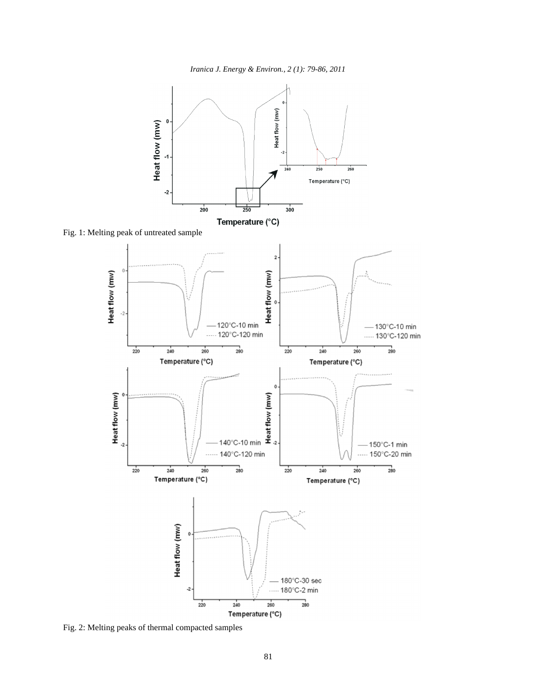*Iranica J. Energy & Environ., 2 (1): 79-86, 2011*



Fig. 1: Melting peak of untreated sample



Fig. 2: Melting peaks of thermal compacted samples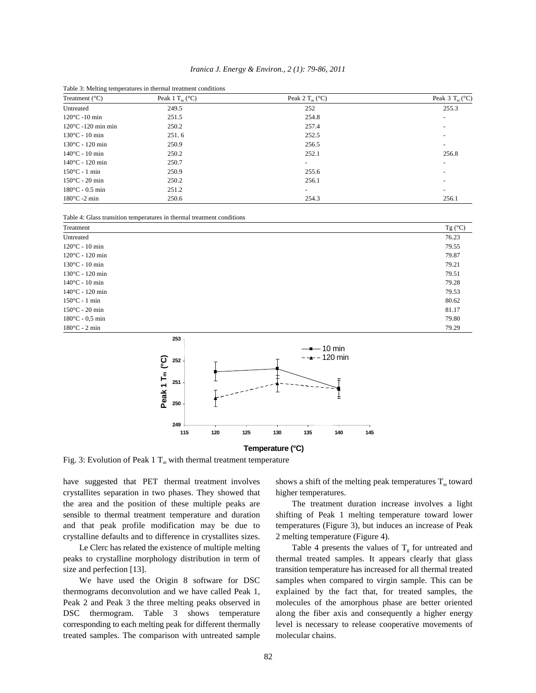| Iranica J. Energy & Environ., 2 (1): 79-86, 2011 |  |
|--------------------------------------------------|--|
|--------------------------------------------------|--|

| Treatment $(^{\circ}C)$      | Tuole of Mening temperatures in inermal treatment conditions<br>Peak 1 $T_m$ (°C) | Peak 2 $T_m$ (°C)        | Peak $3 T_m (°C)$        |
|------------------------------|-----------------------------------------------------------------------------------|--------------------------|--------------------------|
| Untreated                    | 249.5                                                                             | 252                      | 255.3                    |
| $120^{\circ}$ C -10 min      | 251.5                                                                             | 254.8                    | $\overline{\phantom{0}}$ |
| $120^{\circ}$ C -120 min min | 250.2                                                                             | 257.4                    |                          |
| $130^{\circ}$ C - 10 min     | 251.6                                                                             | 252.5                    |                          |
| $130^{\circ}$ C - 120 min    | 250.9                                                                             | 256.5                    | $\overline{\phantom{0}}$ |
| $140^{\circ}$ C - 10 min     | 250.2                                                                             | 252.1                    | 256.8                    |
| $140^{\circ}$ C - 120 min    | 250.7                                                                             | $\overline{\phantom{0}}$ | $\overline{\phantom{0}}$ |
| $150^{\circ}$ C - 1 min      | 250.9                                                                             | 255.6                    | $\overline{\phantom{0}}$ |
| $150^{\circ}$ C - 20 min     | 250.2                                                                             | 256.1                    | $\overline{\phantom{0}}$ |
| $180^{\circ}$ C - 0.5 min    | 251.2                                                                             | $\overline{\phantom{0}}$ | $\overline{\phantom{0}}$ |
| $180^{\circ}$ C -2 min       | 250.6                                                                             | 254.3                    | 256.1                    |

Table 3: Melting temperatures in thermal treatment conditions

|  | Table 4: Glass transition temperatures in thermal treatment conditions |  |  |
|--|------------------------------------------------------------------------|--|--|
|  |                                                                        |  |  |

| Treatment                 | Tg $(C)$ |
|---------------------------|----------|
| Untreated                 | 76.23    |
| $120^{\circ}$ C - 10 min  | 79.55    |
| $120^{\circ}$ C - 120 min | 79.87    |
| $130^{\circ}$ C - 10 min  | 79.21    |
| $130^{\circ}$ C - 120 min | 79.51    |
| $140^{\circ}$ C - 10 min  | 79.28    |
| $140^{\circ}$ C - 120 min | 79.53    |
| $150^{\circ}$ C - 1 min   | 80.62    |
| $150^{\circ}$ C - 20 min  | 81.17    |
| $180^{\circ}$ C - 0.5 min | 79.80    |
| $180^{\circ}$ C - 2 min   | 79.29    |
| 253 7                     |          |



**Temperature (°C)**

Fig. 3: Evolution of Peak 1  $T_m$  with thermal treatment temperature

have suggested that PET thermal treatment involves shows a shift of the melting peak temperatures  $T_m$  toward crystallites separation in two phases. They showed that higher temperatures. the area and the position of these multiple peaks are The treatment duration increase involves a light sensible to thermal treatment temperature and duration shifting of Peak 1 melting temperature toward lower and that peak profile modification may be due to temperatures (Figure 3), but induces an increase of Peak crystalline defaults and to difference in crystallites sizes. 2 melting temperature (Figure 4).

peaks to crystalline morphology distribution in term of thermal treated samples. It appears clearly that glass size and perfection [13]. transition temperature has increased for all thermal treated

treated samples. The comparison with untreated sample molecular chains.

Le Clerc has related the existence of multiple melting Table 4 presents the values of  $T_g$  for untreated and We have used the Origin 8 software for DSC samples when compared to virgin sample. This can be thermograms deconvolution and we have called Peak 1, explained by the fact that, for treated samples, the Peak 2 and Peak 3 the three melting peaks observed in molecules of the amorphous phase are better oriented DSC thermogram. Table 3 shows temperature along the fiber axis and consequently a higher energy corresponding to each melting peak for different thermally level is necessary to release cooperative movements of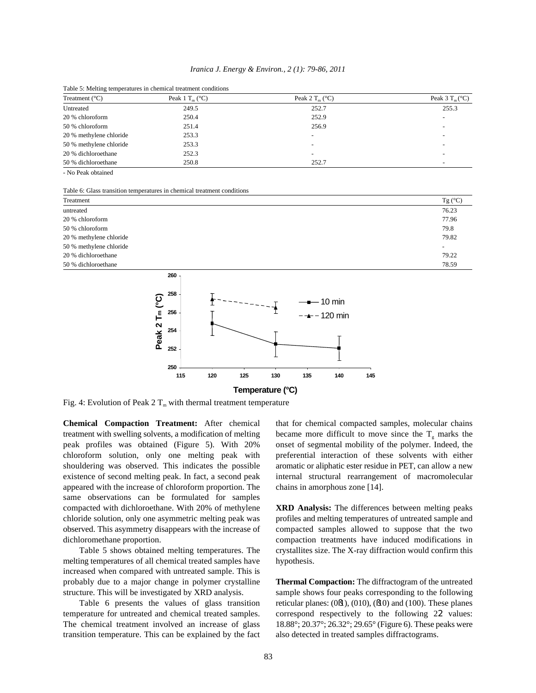| Iranica J. Energy & Environ., 2 (1): 79-86, 2011 |  |  |
|--------------------------------------------------|--|--|
|--------------------------------------------------|--|--|

| Treatment $(^{\circ}C)$ | Peak 1 $T_m$ (°C) | Peak 2 $T_m$ (°C)        | Peak $3 T_m$ (°C)        |
|-------------------------|-------------------|--------------------------|--------------------------|
| Untreated               | 249.5             | 252.7                    | 255.3                    |
| 20 % chloroform         | 250.4             | 252.9                    | $\sim$                   |
| 50 % chloroform         | 251.4             | 256.9                    | $\overline{\phantom{a}}$ |
| 20 % methylene chloride | 253.3             | $\overline{\phantom{a}}$ | $\overline{\phantom{a}}$ |
| 50 % methylene chloride | 253.3             | $\overline{\phantom{a}}$ | $\overline{\phantom{a}}$ |
| 20 % dichloroethane     | 252.3             | -                        | -                        |
| 50 % dichloroethane     | 250.8             | 252.7                    | $\overline{\phantom{0}}$ |

Table 5: Melting temperatures in chemical treatment conditions

- No Peak obtained

Table 6: Glass transition temperatures in chemical treatment conditions

| Treatment               | Tg $(C)$                 |
|-------------------------|--------------------------|
| untreated               | 76.23                    |
| 20 % chloroform         | 77.96                    |
| 50 % chloroform         | 79.8                     |
| 20 % methylene chloride | 79.82                    |
| 50 % methylene chloride | $\overline{\phantom{a}}$ |
| 20 % dichloroethane     | 79.22                    |
| 50 % dichloroethane     | 78.59                    |
| $260 -$                 |                          |



Fig. 4: Evolution of Peak 2  $T_m$  with thermal treatment temperature

treatment with swelling solvents, a modification of melting became more difficult to move since the  $T_g$  marks the peak profiles was obtained (Figure 5). With 20% onset of segmental mobility of the polymer. Indeed, the chloroform solution, only one melting peak with preferential interaction of these solvents with either shouldering was observed. This indicates the possible aromatic or aliphatic ester residue in PET, can allow a new existence of second melting peak. In fact, a second peak internal structural rearrangement of macromolecular appeared with the increase of chloroform proportion. The chains in amorphous zone [14]. same observations can be formulated for samples compacted with dichloroethane. With 20% of methylene **XRD Analysis:** The differences between melting peaks chloride solution, only one asymmetric melting peak was profiles and melting temperatures of untreated sample and observed. This asymmetry disappears with the increase of compacted samples allowed to suppose that the two dichloromethane proportion. compaction treatments have induced modifications in

melting temperatures of all chemical treated samples have hypothesis. increased when compared with untreated sample. This is probably due to a major change in polymer crystalline **Thermal Compaction:** The diffractogram of the untreated structure. This will be investigated by XRD analysis. Sample shows four peaks corresponding to the following

transition temperature. This can be explained by the fact also detected in treated samples diffractograms.

**Chemical Compaction Treatment:** After chemical that for chemical compacted samples, molecular chains

Table 5 shows obtained melting temperatures. The crystallites size. The X-ray diffraction would confirm this

Table 6 presents the values of glass transition reticular planes: (0§1), (010), (§10) and (100). These planes temperature for untreated and chemical treated samples. correspond respectively to the following 22 values: The chemical treatment involved an increase of glass 18.88°; 20.37°; 26.32°; 29.65° (Figure 6). These peaks were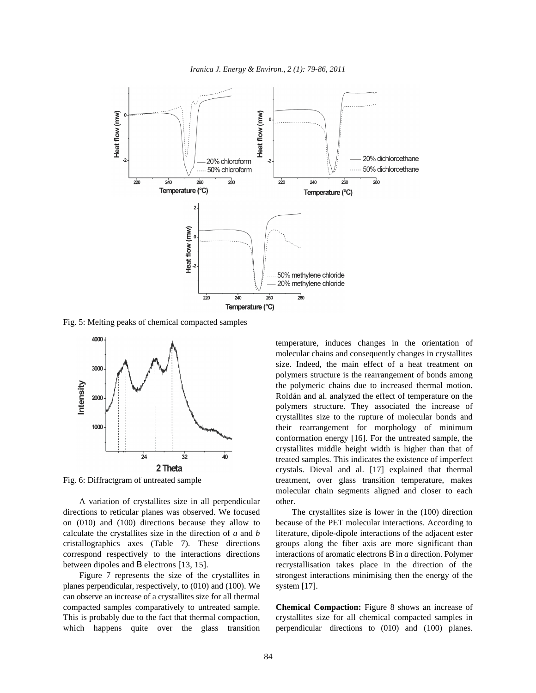*Iranica J. Energy & Environ., 2 (1): 79-86, 2011*



Fig. 5: Melting peaks of chemical compacted samples



A variation of crystallites size in all perpendicular other. directions to reticular planes was observed. We focused The crystallites size is lower in the (100) direction on (010) and (100) directions because they allow to because of the PET molecular interactions. According to calculate the crystallites size in the direction of *a* and *b* literature, dipole-dipole interactions of the adjacent ester cristallographics axes (Table 7). These directions groups along the fiber axis are more significant than correspond respectively to the interactions directions interactions of aromatic electrons B in *a* direction. Polymer between dipoles and B electrons [13, 15]. recrystallisation takes place in the direction of the

planes perpendicular, respectively, to (010) and (100). We system [17]. can observe an increase of a crystallites size for all thermal compacted samples comparatively to untreated sample. **Chemical Compaction:** Figure 8 shows an increase of This is probably due to the fact that thermal compaction, crystallites size for all chemical compacted samples in which happens quite over the glass transition perpendicular directions to (010) and (100) planes.

Fig. 6: Diffractgram of untreated sample treatment, over glass transition temperature, makes temperature, induces changes in the orientation of molecular chains and consequently changes in crystallites size. Indeed, the main effect of a heat treatment on polymers structure is the rearrangement of bonds among the polymeric chains due to increased thermal motion. Roldán and al. analyzed the effect of temperature on the polymers structure. They associated the increase of crystallites size to the rupture of molecular bonds and their rearrangement for morphology of minimum conformation energy [16]. For the untreated sample, the crystallites middle height width is higher than that of treated samples. This indicates the existence of imperfect crystals. Dieval and al. [17] explained that thermal molecular chain segments aligned and closer to each

Figure 7 represents the size of the crystallites in strongest interactions minimising then the energy of the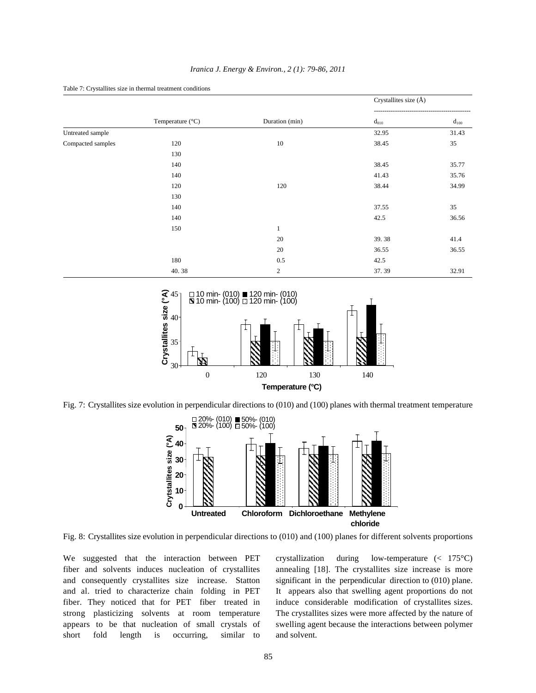|                   |                           |                | Crystallites size (Å) |           |
|-------------------|---------------------------|----------------|-----------------------|-----------|
|                   | Temperature $(^{\circ}C)$ | Duration (min) | $d_{010}$             | $d_{100}$ |
| Untreated sample  |                           |                | 32.95                 | 31.43     |
| Compacted samples | 120                       | 10             | 38.45                 | 35        |
|                   | 130                       |                |                       |           |
|                   | 140                       |                | 38.45                 | 35.77     |
|                   | 140                       |                | 41.43                 | 35.76     |
|                   | 120                       | 120            | 38.44                 | 34.99     |
|                   | 130                       |                |                       |           |
|                   | 140                       |                | 37.55                 | 35        |
|                   | 140                       |                | 42.5                  | 36.56     |
|                   | 150                       | 1              |                       |           |
|                   |                           | 20             | 39.38                 | 41.4      |
|                   |                           | 20             | 36.55                 | 36.55     |
|                   | 180                       | 0.5            | 42.5                  |           |
|                   | 40.38                     | $\mathfrak{2}$ | 37.39                 | 32.91     |

*Iranica J. Energy & Environ., 2 (1): 79-86, 2011*



Table 7: Crystallites size in thermal treatment conditions

Fig. 7: Crystallites size evolution in perpendicular directions to (010) and (100) planes with thermal treatment temperature



Fig. 8: Crystallites size evolution in perpendicular directions to (010) and (100) planes for different solvents proportions

fiber and solvents induces nucleation of crystallites annealing [18]. The crystallites size increase is more and consequently crystallites size increase. Statton significant in the perpendicular direction to (010) plane. and al. tried to characterize chain folding in PET It appears also that swelling agent proportions do not fiber. They noticed that for PET fiber treated in induce considerable modification of crystallites sizes. strong plasticizing solvents at room temperature The crystallites sizes were more affected by the nature of appears to be that nucleation of small crystals of swelling agent because the interactions between polymer short fold length is occurring, similar to and solvent.

We suggested that the interaction between PET crystallization during low-temperature (< 175°C)